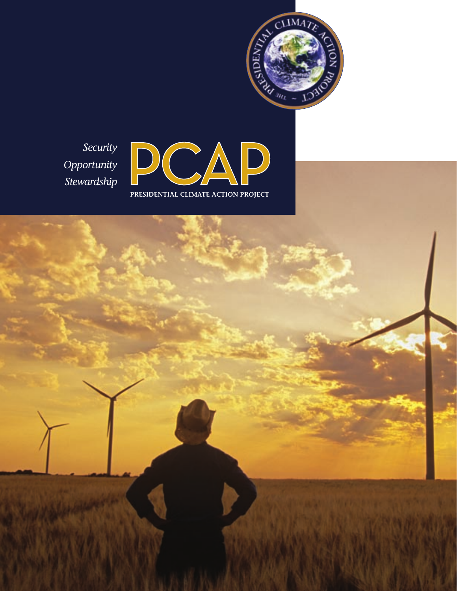

*Security Opportunity Stewardship*



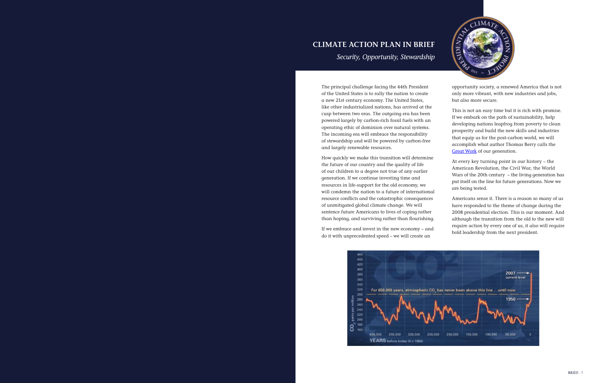The principal challenge facing the 44th President of the United States is to rally the nation to create a new 21st century economy. The United States, like other industrialized nations, has arrived at the cusp between two eras. The outgoing era has been powered largely by carbon-rich fossil fuels with an operating ethic of dominion over natural systems. The incoming era will embrace the responsibility of stewardship and will be powered by carbon-free and largely renewable resources.

How quickly we make this transition will determine the future of our country and the quality of life of our children to a degree not true of any earlier generation. If we continue investing time and resources in life-support for the old economy, we will condemn the nation to a future of international resource conflicts and the catastrophic consequences of unmitigated global climate change. We will sentence future Americans to lives of coping rather than hoping, and surviving rather than flourishing.

If we embrace and invest in the new economy – and do it with unprecedented speed – we will create an





opportunity society, a renewed America that is not only more vibrant, with new industries and jobs, but also more secure.

This is not an easy time but it is rich with promise. If we embark on the path of sustainability, help developing nations leapfrog from poverty to clean prosperity and build the new skills and industries that equip us for the post-carbon world, we will accomplish what author Thomas Berry calls the [Great Work](http://www.thomasberry.org/Essays/AwakeningToOurRoleInTheGreatWork.html) of our generation.

At every key turning point in our history – the American Revolution, the Civil War, the World Wars of the 20th century – the living generation has put itself on the line for future generations. Now we are being tested.

Americans sense it. There is a reason so many of us have responded to the theme of change during the 2008 presidential election. This is our moment. And although the transition from the old to the new will require action by every one of us, it also will require bold leadership from the next president.

# **CLIMATE ACTION PLAN IN BRIEF**

*Security, Opportunity, Stewardship*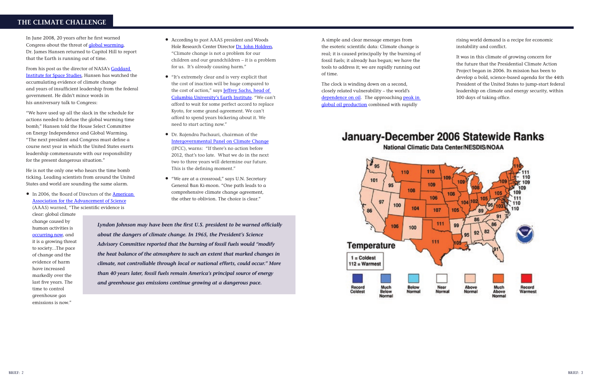# **THE CLIMATE CHALLENGE**

In June 2008, 20 years after he first warned Congress about the threat of [global warming,](http://epa.gov/climatechange/index.html) Dr. James Hansen returned to Capitol Hill to report that the Earth is running out of time.

From his post as the director of NASA's [Goddard](http://www.giss.nasa.gov/)  [Institute for Space Studies,](http://www.giss.nasa.gov/) Hansen has watched the accumulating evidence of climate change and years of insufficient leadership from the federal government. He didn't mince words in his anniversary talk to Congress:

• In 2006, the Board of Directors of the **American** [Association for the Advancement of Science](http://www.aaas.org/news/press_room/climate_change/mtg_200702/aaas_climate_statement.pdf) (AAAS) warned, "The scientific evidence is

"We have used up all the slack in the schedule for actions needed to defuse the global warming time bomb," Hansen told the House Select Committee on Energy Independence and Global Warming. "The next president and Congress must define a course next year in which the United States exerts leadership commensurate with our responsibility for the present dangerous situation."

He is not the only one who hears the time bomb ticking. Leading scientists from around the United States and world are sounding the same alarm.

clear: global climate change caused by human activities is occurring now, and it is a growing threat to society…The pace of change and the evidence of harm have increased markedly over the last five years. The time to control greenhouse gas emissions is now."

- According to past AAAS president and Woods Hole Research Center Director [Dr. John Holdren](http://www.climatesciencewatch.org/index.php/csw/details/holdren-aaas1/), "Climate change is not a problem for our children and our grandchildren – it is a problem for us. It's already causing harm."
- "It's extremely clear and is very explicit that the cost of inaction will be huge compared to the cost of action," says Jeffrey Sachs, head of [Columbia University's Earth Institute](http://www.iht.com/articles/2007/11/18/europe/climate.php). "We can't afford to wait for some perfect accord to replace Kyoto, for some grand agreement. We can't afford to spend years bickering about it. We need to start acting now."
- Dr. Rajendra Pachauri, chairman of the [Intergovernmental Panel on Climate Change](http://www.ipcc.ch/) (IPCC), warns: "If there's no action before 2012, that's too late. What we do in the next two to three years will determine our future. This is the defining moment."
- "We are at a crossroad," says U.N. Secretary General Ban Ki-moon. "One path leads to a comprehensive climate change agreement, the other to oblivion. The choice is clear."

A simple and clear message emerges from the esoteric scientific data: Climate change is real; it is caused principally by the burning of fossil fuels; it already has begun; we have the tools to address it; we are rapidly running out of time.

The clock is winding down on a second, closely related vulnerability – the world's [dependence on oil.](http://royaldutchshellplc.com/2008/01/24/the-times-shell-chief-fears-oil-shortage-in-seven-years/) The approaching peak in [global oil production](http://www.energybulletin.net/primer) combined with rapidly



rising world demand is a recipe for economic instability and conflict.

It was in this climate of growing concern for the future that the Presidential Climate Action Project began in 2006. Its mission has been to develop a bold, science-based agenda for the 44th President of the United States to jump-start federal leadership on climate and energy security, within 100 days of taking office.

*Lyndon Johnson may have been the first U.S. president to be warned officially* 

*about the dangers of climate change. In 1965, the President's Science Advisory Committee reported that the burning of fossil fuels would "modify the heat balance of the atmosphere to such an extent that marked changes in climate, not controllable through local or national efforts, could occur." More than 40 years later, fossil fuels remain America's principal source of energy and greenhouse gas emissions continue growing at a dangerous pace.*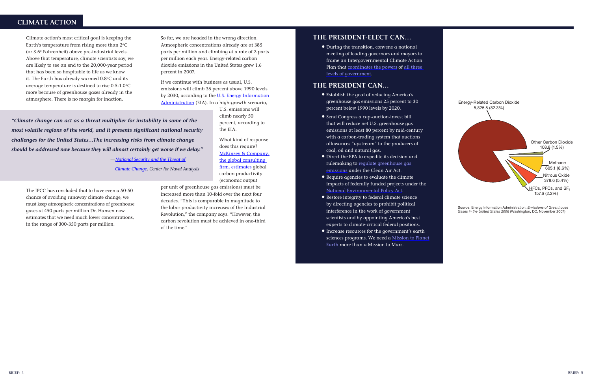# **THE PRESIDENT-ELECT CAN…**

• During the transition, convene a national meeting of leading governors and mayors to frame an Intergovernmental Climate Action Plan that [coordinates the powers](http://www.climateactionproject.com/docs/Peterson_UVA_EIC_Final_03-07-08.pdf) of [all three](http://energycommerce.house.gov/Climate_Change/white%20paper%20st-lcl%20roles%20final%202-22.pdf)  [levels of government](http://energycommerce.house.gov/Climate_Change/white%20paper%20st-lcl%20roles%20final%202-22.pdf).

# **THE PRESIDENT CAN…**

- Establish the goal of reducing America's greenhouse gas emissions 25 percent to 30 percent below 1990 levels by 2020.
- Send Congress a cap-auction-invest bill that will reduce net U.S. greenhouse gas emissions at least 80 percent by mid-century with a carbon-trading system that auctions allowances "upstream" to the producers of coal, oil and natural gas.
- Direct the EPA to expedite its decision and rulemaking to [regulate greenhouse gas](http://www.supremecourtus.gov/opinions/06pdf/05-1120.pdf)  [emissions](http://www.supremecourtus.gov/opinions/06pdf/05-1120.pdf) under the Clean Air Act.
- Require agencies to evaluate the climate impacts of federally funded projects under the National [Environmental Policy Act.](http://www.nepa.gov/nepa/regs/nepa/nepaeqia.htm)
- Restore integrity to federal climate science by directing agencies to prohibit political interference in the work of government scientists and by appointing America's best experts to climate-critical federal positions.
- Increase resources for the government's earth sciences programs. We need a [Mission to Planet](http://nasascience.nasa.gov/earth-science/?searchterm=Mission%20to%20Planet%20Earth) [Earth](http://nasascience.nasa.gov/earth-science/?searchterm=Mission%20to%20Planet%20Earth) more than a Mission to Mars.

# **CLIMATE ACTION**

Climate action's most critical goal is keeping the Earth's temperature from rising more than  $2^{\circ}C$ (or  $3.6^\circ$  Fahrenheit) above pre-industrial levels. Above that temperature, climate scientists say, we are likely to see an end to the 20,000-year period that has been so hospitable to life as we know it. The Earth has already warmed 0.8°C and its average temperature is destined to rise  $0.5$ -1.0 $^{\circ}$ C more because of greenhouse gases already in the atmosphere. There is no margin for inaction.

The IPCC has concluded that to have even a 50-50 chance of avoiding runaway climate change, we must keep atmospheric concentrations of greenhouse gases at 450 parts per million Dr. Hansen now estimates that we need much lower concentrations, in the range of 300-350 parts per million.

So far, we are headed in the wrong direction. Atmospheric concentrations already are at 385 parts per million and climbing at a rate of 2 parts per million each year. Energy-related carbon dioxide emissions in the United States grew 1.6 percent in 2007.

If we continue with business as usual, U.S. emissions will climb 36 percent above 1990 levels by 2030, according to the U.S. Energy Information [Administration](http://www.eia.doe.gov/oiaf/aeo/emission.html) (EIA). In a high-growth scenario,

> U.S. emissions will climb nearly 50 percent, according to

the EIA.

What kind of response does this require? [McKinsey & Company,](http://www.mckinsey.com/mgi/reports/pdfs/Carbon_Productivity/MGI_carbon_productivity_full_report.pdf)  [the global consulting](http://www.mckinsey.com/mgi/reports/pdfs/Carbon_Productivity/MGI_carbon_productivity_full_report.pdf)  [firm, estimates](http://www.mckinsey.com/mgi/reports/pdfs/Carbon_Productivity/MGI_carbon_productivity_full_report.pdf) global carbon productivity (economic output

per unit of greenhouse gas emissions) must be increased more than 10-fold over the next four decades. "This is comparable in magnitude to the labor productivity increases of the Industrial Revolution," the company says. "However, the carbon revolution must be achieved in one-third of the time."

*"Climate change can act as a threat multiplier for instability in some of the most volatile regions of the world, and it presents significant national security challenges for the United States…The increasing risks from climate change should be addressed now because they will almost certainly get worse if we delay."* 

*—[National Security and the Threat of](http://securityandclimate.cna.org/report/National Security and the Threat of Climate Change.pdf)*

*[Climate Change,](http://securityandclimate.cna.org/report/National Security and the Threat of Climate Change.pdf) Center for Naval Analysis*

Source: Energy Information Administration, *Emissions of Greenhouse Gases in the United States 2006* (Washington, DC, November 2007)

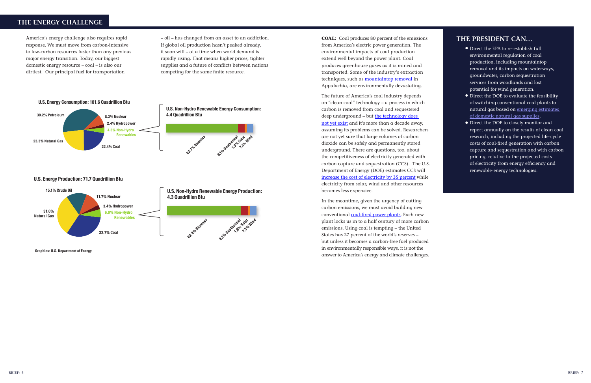**COAL:** Coal produces 80 percent of the emissions from America's electric power generation. The environmental impacts of coal production extend well beyond the power plant. Coal produces greenhouse gases as it is mined and transported. Some of the industry's extraction techniques, such as [mountaintop removal](http://www.mountainjusticesummer.org/facts/steps.php) in Appalachia, are environmentally devastating.

The future of America's coal industry depends on "clean coal" technology – a process in which carbon is removed from coal and sequestered deep underground – but the technology does [not yet exist](http://e360.yale.edu/content/print.msp?id=2014) and it's more than a decade away, assuming its problems can be solved. Researchers are not yet sure that large volumes of carbon dioxide can be safely and permanently stored underground. There are questions, too, about the competitiveness of electricity generated with carbon capture and sequestration (CCS). The U.S. Department of Energy (DOE) estimates CCS will [increase the cost of electricity by 35 percent](http://www.gao.gov/new.items/d081080.pdf) while electricity from solar, wind and other resources becomes less expensive.

In the meantime, given the urgency of cutting carbon emissions, we must avoid building new conventional [coal-fired power plants.](http://articles.latimes.com/2008/jan/18/nation/na-coal18) Each new plant locks us in to a half century of more carbon emissions. Using coal is tempting – the United States has 27 percent of the world's reserves – but unless it becomes a carbon-free fuel produced in environmentally responsible ways, it is not the answer to America's energy and climate challenges.

# **THE PRESIDENT CAN…**

- Direct the EPA to re-establish full environmental regulation of coal production, including mountaintop removal and its impacts on waterways, groundwater, carbon sequestration services from woodlands and lost potential for wind generation.
- Direct the DOE to evaluate the feasibility of switching conventional coal plants to natural gas based on [emerging estimates](http://www.navigantconsulting.com/downloads/knowledge_center/North_American_Natural_Gas_Supply_Assessment.pdf)  [of domestic natural gas supplies](http://www.navigantconsulting.com/downloads/knowledge_center/North_American_Natural_Gas_Supply_Assessment.pdf).
- Direct the DOE to closely monitor and report annually on the results of clean coal research, including the projected life-cycle costs of coal-fired generation with carbon capture and sequestration and with carbon pricing, relative to the projected costs of electricity from energy efficiency and renewable-energy technologies.

America's energy challenge also requires rapid response. We must move from carbon-intensive to low-carbon resources faster than any previous major energy transition. Today, our biggest domestic energy resource – coal – is also our dirtiest. Our principal fuel for transportation

– oil – has changed from an asset to an addiction. If global oil production hasn't peaked already, it soon will – at a time when world demand is rapidly rising. That means higher prices, tighter supplies and a future of conflicts between nations competing for the same finite resource.

**Graphics: U.S. Department of Energy**

# **THE ENERGY CHALLENGE**



**U.S. Energy Production: 71.7 Quadrillion Btu**

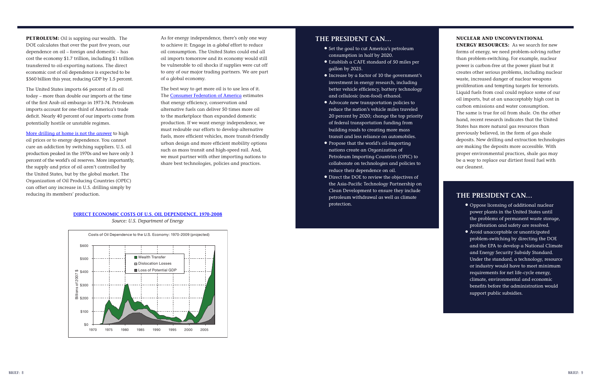### **NUCLEAR AND UNCONVENTIONAL**

**ENERGY RESOURCES:** As we search for new forms of energy, we need problem-solving rather than problem-switching. For example, nuclear power is carbon-free at the power plant but it creates other serious problems, including nuclear waste, increased danger of nuclear weapons proliferation and tempting targets for terrorists. Liquid fuels from coal could replace some of our oil imports, but at an unacceptably high cost in carbon emissions and water consumption. The same is true for oil from shale. On the other hand, recent research indicates that the United States has more natural gas resources than previously believed, in the form of gas shale deposits. New drilling and extraction technologies are making the deposits more accessible. With proper environmental practices, shale gas may be a way to replace our dirtiest fossil fuel with our cleanest.

# **THE PRESIDENT CAN…**

- Oppose licensing of additional nuclear power plants in the United States until the problems of permanent waste storage, proliferation and safety are resolved.
- Avoid unacceptable or unanticipated problem-switching by directing the DOE and the EPA to develop a National Climate and Energy Security Subsidy Standard. Under the standard, a technology, resource or industry would have to meet minimum requirements for net life-cycle energy, climate, environmental and economic benefits before the administration would support public subsidies.

**PETROLEUM:** Oil is sapping our wealth. The DOE calculates that over the past five years, our dependence on oil – foreign and domestic – has cost the economy \$1.7 trillion, including \$1 trillion transferred to oil-exporting nations. The direct economic cost of oil dependence is expected to be \$560 billion this year, reducing GDP by 1.5 percent.

The United States imports 66 percent of its oil today – more than double our imports at the time of the first Arab oil embargo in 1973-74. Petroleum imports account for one-third of America's trade deficit. Nearly 40 percent of our imports come from potentially hostile or unstable regimes.

[More drilling at home is not the answer](http://newenergyfuture.com/newenergy.asp?id2=5950&id3=energy&) to high oil prices or to energy dependence. You cannot cure an addiction by switching suppliers. U.S. oil production peaked in the 1970s and we have only 3 percent of the world's oil reserves. More importantly, the supply and price of oil aren't controlled by the United States, but by the global market. The Organization of Oil Producing Countries (OPEC) can offset any increase in U.S. drilling simply by reducing its members' production.

As for energy independence, there's only one way to achieve it: Engage in a *global* effort to reduce oil consumption. The United States could end all oil imports tomorrow and its economy would still be vulnerable to oil shocks if supplies were cut off to any of our major trading partners. We are part of a global economy.

The best way to get more oil is to use less of it. The [Consumer Federation of America](http://www.consumerfed.org/pdfs/Energy_Blueprint.pdf) estimates that energy efficiency, conservation and alternative fuels can deliver 50 times more oil to the marketplace than expanded domestic production. If we want energy independence, we must redouble our efforts to develop alternative fuels, more efficient vehicles, more transit-friendly urban design and more efficient mobility options such as mass transit and high-speed rail. And, we must partner with other importing nations to share best technologies, policies and practices.

### **[DIRECT ECONOMIC COSTS OF U.S. OIL DEPENDENCE, 1970-2008](http://www1.eere.energy.gov/vehiclesandfuels/facts/2008_fotw522.html)**

*Source: U.S. Department of Energy*

# **THE PRESIDENT CAN…**

- Set the goal to cut America's petroleum consumption in half by 2020.
- Establish a CAFE standard of 50 miles per gallon by 2025.
- Increase by a factor of 10 the government's investment in energy research, including better vehicle efficiency, battery technology and cellulosic (non-food) ethanol.
- Advocate new transportation policies to reduce the nation's vehicle miles traveled 20 percent by 2020; change the top priority of federal transportation funding from building roads to creating more mass transit and less reliance on automobiles.
- Propose that the world's oil-importing nations create an Organization of Petroleum Importing Countries (OPIC) to collaborate on technologies and policies to reduce their dependence on oil.
- Direct the DOE to review the objectives of the Asia-Pacific Technology Partnership on Clean Development to ensure they include petroleum withdrawal as well as climate protection.

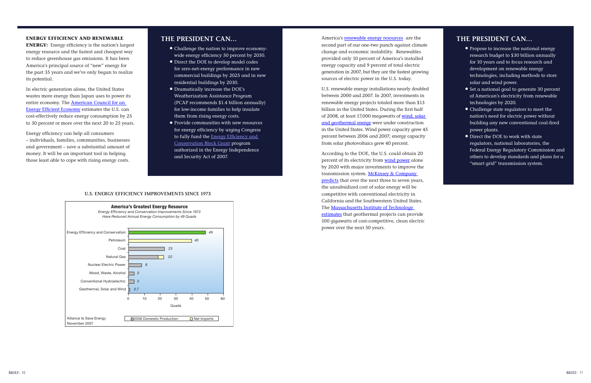### **ENERGY EFFICIENCY AND RENEWABLE**

**ENERGY:** Energy efficiency is the nation's largest energy resource and the fastest and cheapest way to reduce greenhouse gas emissions. It has been America's principal source of "new" energy for the past 35 years and we've only begun to realize its potential.

In electric generation alone, the United States wastes more energy than Japan uses to power its entire economy. The **American Council for an** [Energy Efficient Economy](http://www.aceee.org/pubs/e083.htm) estimates the U.S. can cost-effectively reduce energy consumption by 25 to 30 percent or more over the next 20 to 25 years.

Energy efficiency can help all consumers – individuals, families, communities, businesses and government – save a substantial amount of money. It will be an important tool in helping those least able to cope with rising energy costs.

# **THE PRESIDENT CAN…**

- Challenge the nation to improve economywide energy efficiency 50 percent by 2030.
- Direct the DOE to develop model codes for zero-net-energy performance in new commercial buildings by 2025 and in new residential buildings by 2030.
- Dramatically increase the DOE's Weatherization Assistance Program (PCAP recommends \$1.4 billion annually) for low-income families to help insulate them from rising energy costs.
- Provide communities with new resources for energy efficiency by urging Congress to fully fund the [Energy Efficiency and](http://usmayors.org/climateprotection/EEBGBackgrounder0507.pdf)  [Conservation Block Grant](http://usmayors.org/climateprotection/EEBGBackgrounder0507.pdf) program authorized in the Energy Independence and Security Act of 2007.

### **U.S. ENERGY EFFICIENCY IMPROVEMENTS SINCE 1973**

America's [renewable energy resources](http://www1.eere.energy.gov/maps_data/pdfs/eere_databook_091208.pdf) are the second part of our one-two punch against climate change and economic instability. Renewables provided only 10 percent of America's installed energy capacity and 9 percent of total electric generation in 2007, but they are the fastest growing sources of electric power in the U.S. today.

U.S. renewable energy installations nearly doubled between 2000 and 2007. In 2007, investments in renewable energy projects totaled more than \$13 billion in the United States. During the first half of 2008, at least 17,000 megawatts of [wind, solar](http://www.worldwatch.org/node/5855)  [and geothermal energy](http://www.worldwatch.org/node/5855) were under construction in the United States. Wind power capacity grew 45 percent between 2006 and 2007; energy capacity from solar photovoltaics grew 40 percent.

According to the DOE, the U.S. could obtain 20 percent of its electricity from [wind power](http://www.fas.org/sgp/crs/misc/RL34546.pdf) alone by 2020 with major investments to improve the transmission system. [McKinsey & Company](http://www.mckinsey.com/clientservice/ccsi/pdf/economics_of_solar.pdf)  [predicts](http://www.mckinsey.com/clientservice/ccsi/pdf/economics_of_solar.pdf) that over the next three to seven years, the unsubsidized cost of solar energy will be competitive with conventional electricity in California and the Southwestern United States. The [Massachusetts Institute of Technology](http://www.fas.org/sgp/crs/misc/RL34546.pdf)  [estimates](http://www.fas.org/sgp/crs/misc/RL34546.pdf) that geothermal projects can provide 100 gigawatts of cost-competitive, clean electric power over the next 50 years.

# **THE PRESIDENT CAN…**

- Propose to increase the national energy research budget to \$30 billion annually for 10 years and to focus research and development on renewable energy technologies, including methods to store solar and wind power.
- Set a national goal to generate 30 percent of American's electricity from renewable technologies by 2020.
- Challenge state regulators to meet the nation's need for electric power without building any new conventional coal-fired power plants.
- Direct the DOE to work with state regulators, national laboratories, the Federal Energy Regulatory Commission and others to develop standards and plans for a "smart grid" transmission system.

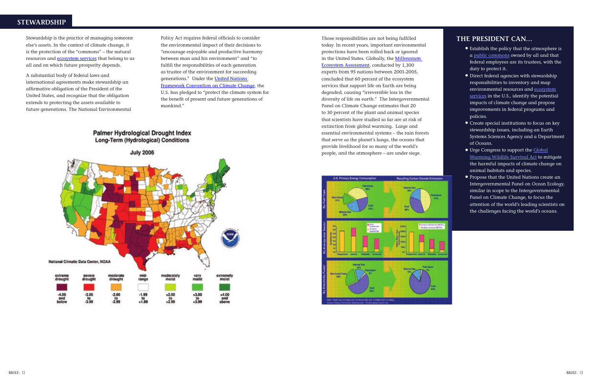# **STEWARDSHIP**

Stewardship is the practice of managing someone else's assets. In the context of climate change, it is the protection of the "commons" – the natural resources and [ecosystem services](http://www.actionbioscience.org/environment/esa.html) that belong to us all and on which future prosperity depends.

A substantial body of federal laws and international agreements make stewardship an affirmative obligation of the President of the United States, and recognize that the obligation extends to protecting the assets available to future generations. The National Environmental Policy Act requires federal officials to consider the environmental impact of their decisions to "encourage enjoyable and productive harmony between man and his environment" and "to fulfill the responsibilities of each generation as trustee of the environment for succeeding generations." Under the [United Nations](http://unfccc.int/essential_background/convention/background/items/2853.php)  [Framework Convention on Climate Change](http://unfccc.int/essential_background/convention/background/items/2853.php), the U.S. has pledged to "protect the climate system for the benefit of present and future generations of mankind."



Those responsibilities are not being fulfilled today. In recent years, important environmental protections have been rolled back or ignored in the United States. Globally, the **Millennium** [Ecosystem Assessment](http://www.millenniumassessment.org/en/index.aspx), conducted by 1,300 experts from 95 nations between 2001-2005, concluded that 60 percent of the ecosystem services that support life on Earth are being degraded, causing "irreversible loss in the diversity of life on earth." The Intergovernmental Panel on Climate Change estimates that 20 to 30 percent of the plant and animal species that scientists have studied so far are at risk of extinction from global warming. Large and essential environmental systems – the rain forests that serve as the planet's lungs, the oceans that provide livelihood for so many of the world's people, and the atmosphere – are under siege.



# **THE PRESIDENT CAN…**

- Establish the policy that the atmosphere is a [public commons](http://www.climateactionproject.com/whitepapers.php) owned by all and that federal employees are its trustees, with the duty to protect it.
- Direct federal agencies with stewardship responsibilities to inventory and map environmental resources and [ecosystem](http://www.wri.org/project/ecosystem-services-review) [services](http://www.wri.org/project/ecosystem-services-review) in the U.S., identify the potential impacts of climate change and propose improvements in federal programs and policies.
- Create special institutions to focus on key stewardship issues, including an Earth Systems Sciences Agency and a Department of Oceans.
- Urge Congress to support the [Global](http://www.govtrack.us/congress/bill.xpd?bill=s110-2204&tab=summary) [Warming Wildlife Survival Act](http://www.govtrack.us/congress/bill.xpd?bill=s110-2204&tab=summary) to mitigate the harmful impacts of climate change on animal habitats and species.
- Propose that the United Nations create an Intergovernmental Panel on Ocean Ecology, similar in scope to the Intergovernmental Panel on Climate Change, to focus the attention of the world's leading scientists on the challenges facing the world's oceans.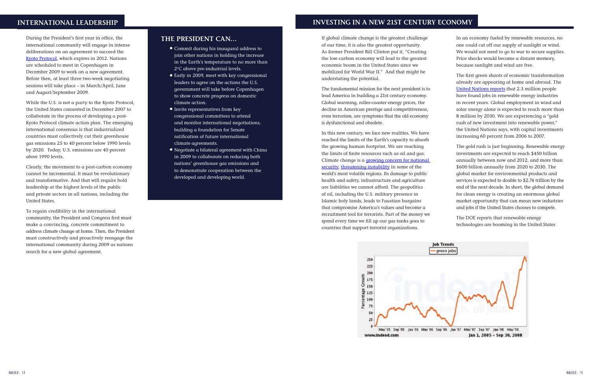# **INTERNATIONAL LEADERSHIP**

During the President's first year in office, the international community will engage in intense deliberations on an agreement to succeed the [Kyoto Protocol,](http://unfccc.int/resource/docs/convkp/kpeng.pdf) which expires in 2012. Nations are scheduled to meet in Copenhagen in December 2009 to work on a new agreement. Before then, at least three two-week negotiating sessions will take place – in March/April, June and August/September 2009.

While the U.S. is not a party to the Kyoto Protocol, the United States consented in December 2007 to collaborate in the process of developing a post-Kyoto Protocol climate action plan. The emerging international consensus is that industrialized countries must collectively cut their greenhouse gas emissions 25 to 40 percent below 1990 levels by 2020. Today, U.S. emissions are 40 percent *above* 1990 levels.

Clearly, the movement to a post-carbon economy cannot be incremental. It must be revolutionary and transformative. And that will require bold leadership at the highest levels of the public and private sectors in all nations, including the United States.

To regain credibility in the international community, the President and Congress first must make a convincing, concrete commitment to address climate change at home. Then, the President must constructively and proactively reengage the international community during 2009 as nations search for a new global agreement.

# **THE PRESIDENT CAN…**

- Commit during his inaugural address to join other nations in holding the increase in the Earth's temperature to no more than  $2^{\circ}$ C above pre-industrial levels.
- Early in 2009, meet with key congressional leaders to agree on the actions the U.S. government will take before Copenhagen to show concrete progress on domestic climate action.
- Invite representatives from key congressional committees to attend and monitor international negotiations, building a foundation for Senate ratification of future international climate agreements.
- Negotiate a bilateral agreement with China in 2009 to collaborate on reducing both nations' greenhouse gas emissions and to demonstrate cooperation between the developed and developing world.

# **INVESTING IN A NEW 21ST CENTURY ECONOMY**

If global climate change is the greatest challenge of our time, it is also the greatest opportunity. As former President Bill Clinton put it, "Creating the low-carbon economy will lead to the greatest economic boom in the United States since we mobilized for World War II." And that might be understating the potential.

The fundamental mission for the next president is to lead America in building a 21st century economy. Global warming, roller-coaster energy prices, the decline in American prestige and competitiveness, even terrorism, are symptoms that the old economy is dysfunctional and obsolete.

In this new century, we face new realities. We have reached the limits of the Earth's capacity to absorb the growing human footprint. We are reaching the limits of finite resources such as oil and gas. Climate change is a [growing concern for national](http://www.fas.org/irp/congress/2008_hr/062508fingar.pdf)  [security,](http://www.fas.org/irp/congress/2008_hr/062508fingar.pdf) [threatening instability](http://www.climateactionproject.com/docs/Goodman_Testimony_Jun_26_08.pdf) in some of the world's most volatile regions. Its damage to public health and safety, infrastructure and agriculture are liabilities we cannot afford. The geopolitics of oil, including the U.S. military presence in Islamic holy lands, leads to Faustian bargains that compromise America's values and become a recruitment tool for terrorists. Part of the money we spend every time we fill up our gas tanks goes to countries that support terrorist organizations.



In an economy fueled by renewable resources, no one could cut off our supply of sunlight or wind. We would not need to go to war to secure supplies. Price shocks would become a distant memory, because sunlight and wind are free.

The first green shoots of economic transformation already are appearing at home and abroad. The [United Nations reports](http://www.unep.org/labour_environment/PDFs/Greenjobs/UNEP-Green-Jobs-Towards-Sustainable-Summary.pdf) that 2.3 million people have found jobs in renewable energy industries in recent years. Global employment in wind and solar energy alone is expected to reach more than 8 million by 2030. We are experiencing a "gold rush of new investment into renewable power," the United Nations says, with capital investments increasing 60 percent from 2006 to 2007.

The gold rush is just beginning. Renewable energy investments are expected to reach \$450 billion annually between now and 2012, and more than \$600 billion annually from 2020 to 2030. The global market for environmental products and services is expected to double to \$2.74 trillion by the end of the next decade. In short, the global demand for clean energy is creating an enormous global market opportunity that can mean new industries and jobs if the United States chooses to compete.

The DOE reports that renewable energy technologies are booming in the United States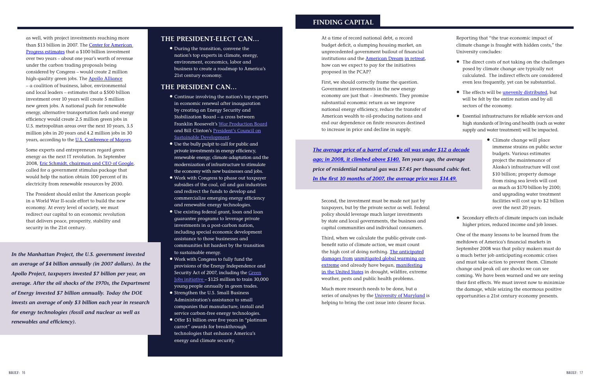as well, with project investments reaching more than \$13 billion in 2007. The Center for American [Progress estimates](http://www.americanprogress.org/issues/2008/09/green_recovery.html) that a \$100 billion investment over two years – about one year's worth of revenue under the carbon trading proposals being considered by Congress – would create 2 million high-quality green jobs. The **[Apollo Alliance](http://apolloalliance.org/apollo-14/)** – a coalition of business, labor, environmental and local leaders – estimates that a \$500 billion investment over 10 years will create 5 million new green jobs. A national push for renewable energy, alternative transportation fuels and energy efficiency would create 2.5 million green jobs in U.S. metropolitan areas over the next 10 years, 3.5 million jobs in 20 years and 4.2 million jobs in 30 years, according to the [U.S. Conference of Mayors.](http://www.usmayors.org/pressreleases/uploads/GreenJobsReport.pdf)

Some experts and entrepreneurs regard green energy as the next IT revolution. In September 2008, [Eric Schmidt, chairman and CEO of Google](http://www.npr.org/templates/story/story.php?storyId=94756055), called for a government stimulus package that would help the nation obtain 100 percent of its electricity from renewable resources by 2030.

The President should enlist the American people in a World War II-scale effort to build the new economy. At every level of society, we must redirect our capital to an economic revolution that delivers peace, prosperity, stability and security in the 21st century.

# **THE PRESIDENT-ELECT CAN…**

• During the transition, convene the nation's top experts in climate, energy, environment, economics, labor and business to create a roadmap to America's 21st century economy.

# **THE PRESIDENT CAN…**

- Continue involving the nation's top experts in economic renewal after inauguration by creating an Energy Security and Stabilization Board – a cross between Franklin Roosevelt's [War Production Board](http://www.presidency.ucsb.edu/ws/print.php?pid=16297) and Bill Clinton's [President's Council on](http://clinton2.nara.gov/PCSD/) [Sustainable Development.](http://clinton2.nara.gov/PCSD/)
- Use the bully pulpit to call for public and private investments in energy efficiency, renewable energy, climate adaptation and the modernization of infrastructure to stimulate the economy with new businesses and jobs.
- Work with Congress to phase out taxpayer subsidies of the coal, oil and gas industries and redirect the funds to develop and commercialize emerging energy efficiency and renewable energy technologies.
- Use existing federal grant, loan and loan guarantee programs to leverage private investments in a post-carbon nation, including special economic development assistance to those businesses and communities hit hardest by the transition to sustainable energy.
- Work with Congress to fully fund the provisions of the Energy Independence and Security Act of 2007, including the [Green](http://www.eei.org/industry_issues/electricity_policy/federal_legislation/nonav_timeline_eisa/TitleX.pdf) [Jobs initiative](http://www.eei.org/industry_issues/electricity_policy/federal_legislation/nonav_timeline_eisa/TitleX.pdf) – \$125 million to train 30,000 young people annually in green trades.
- Strengthen the U.S. Small Business Administration's assistance to small companies that manufacture, install and service carbon-free energy technologies.
- Offer \$1 billion over five years in "platinum carrot" awards for breakthrough technologies that enhance America's energy and climate security.

*In the Manhattan Project, the U.S. government invested an average of \$4 billion annually (in 2007 dollars). In the Apollo Project, taxpayers invested \$7 billion per year, on average. After the oil shocks of the 1970s, the Department of Energy invested \$7 billion annually. Today the DOE invests an average of only \$3 billion each year in research for energy technologies (fossil and nuclear as well as renewables and efficiency).*

# **FINDING CAPITAL**

At a time of record national debt, a record budget deficit, a slumping housing market, an unprecedented government bailout of financial institutions and the [American Dream](http://news.bbc.co.uk/1/hi/business/7584472.stm) in retreat, how can we expect to pay for the initiatives proposed in the PCAP?

First, we should correctly frame the question. Government investments in the new energy economy are just that – *investments*. They promise substantial economic return as we improve national energy efficiency, reduce the transfer of American wealth to oil-producing nations and end our dependence on finite resources destined to increase in price and decline in supply.

Second, the investment must be made not just by taxpayers, but by the private sector as well. Federal policy should leverage much larger investments by state and local governments, the business and capital communities and individual consumers.

Third, when we calculate the public-private costbenefit ratio of climate action, we must count the high cost of doing nothing. [The anticipated](http://www.climatescience.gov/Library/sap/usp/public-review-draft/usp-prd-all.pdf) damages from [unmitigated global warming are](http://www.climatescience.gov/Library/sap/usp/public-review-draft/usp-prd-all.pdf) [extreme](http://www.climatescience.gov/Library/sap/usp/public-review-draft/usp-prd-all.pdf) and already have begun, [manifesting](http://www.pewclimate.org/regional_impacts) [in the United States](http://www.pewclimate.org/regional_impacts) in drought, wildfire, extreme weather, pests and public health problems.

Much more research needs to be done, but a series of analyses by the [University of Maryland](http://www.cier.umd.edu/climateadaptation) is helping to bring the cost issue into clearer focus.

Reporting that "the true economic impact of climate change is fraught with hidden costs," the University concludes:

- The direct costs of not taking on the challenges posed by climate change are typically not calculated. The indirect effects are considered even less frequently, yet can be substantial.
- The effects will be *unevenly [distributed](http://www.nextgenerationearth.org)*, but will be felt by the entire nation and by all sectors of the economy.
- Essential infrastructures for reliable services and high standards of living and health (such as water supply and water treatment) will be impacted.
	- Climate change will place immense strains on public sector budgets. Various estimates project the maintenance of Alaska's infrastructure will cost \$10 billion; property damage from rising sea levels will cost as much as \$170 billion by 2100; and upgrading water treatment facilities will cost up to \$2 billion over the next 20 years.
- Secondary effects of climate impacts can include higher prices, reduced income and job losses.

One of the many lessons to be learned from the meltdown of America's financial markets in September 2008 was that policy makers must do a much better job anticipating economic crises and must take action to prevent them. Climate change and peak oil are shocks we can see coming. We have been warned and we are seeing their first effects. We must invest now to minimize the damage, while seizing the enormous positive opportunities a 21st century economy presents.

*[The average price of a barrel of crude oil was under \\$12 a decade](http://www.inflationdata.com/inflation/Inflation_Rate/Historical_Oil_Prices_Table.asp) [ago; in 2008, it climbed above \\$140.](http://www.inflationdata.com/inflation/Inflation_Rate/Historical_Oil_Prices_Table.asp) Ten years ago, the average price of residential natural gas was \$7.45 per thousand cubic feet. In the first 10 months of 2007, the average price was \$14.49.*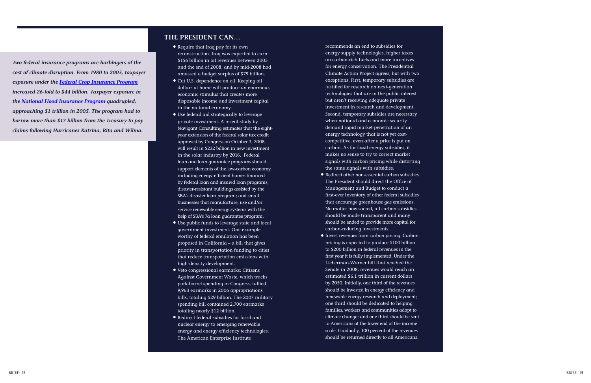# **THE PRESIDENT CAN…**

- Require that Iraq pay for its own reconstruction. [Iraq was expected to earn](http://www.gao.gov/new.items/d081031.pdf)  [\\$156 billion in oil revenues between 2005](http://www.gao.gov/new.items/d081031.pdf)  [and the end of 2008](http://www.gao.gov/new.items/d081031.pdf) , and by mid-2008 had amassed a budget surplus of \$79 billion.
- Cut U.S. dependence on oil. Keeping oil dollars at home will produce an enormous economic stimulus that creates more disposable income and investment capital in the national economy.
- Use federal aid strategically to leverage private investment. A recent [stud](http://seia.org/cs/news_detail?pressrelease.id=153) y by Navigant Consulting estimates that the eightyear extension of the federal solar tax credit approved by Congress on October 3, 2008, will result in \$232 billion in new investment in the solar industry by 2016. [Federal](http://www.cfda.gov/pls/portal30/catalog.GUARANTEE_LOANS_RPT.show)  [loan and loan guarantee program](http://www.cfda.gov/pls/portal30/catalog.GUARANTEE_LOANS_RPT.show) s should support elements of the low-carbon economy, including energy-efficient homes financed by federal loan and insured loan programs; disaster-resistant buildings assisted by the [SBA's disaster loan progra](http://www.disastercenter.com/laworder/sbaloan.htm) m; and small businesses that manufacture, use and/or service renewable energy systems with the help of SBA's [7a loan guarantee progra](http://www.energystar.gov/index.cfm?c=sb_state.sba_loans) m .
- Use public funds to leverage state and local government investment. One example worthy of federal emulation has been proposed in California – [a bill that gives](http://www.latimes.com/news/opinion/editorials/la-ed-planning28-2008aug28,0,2491685.story)  [priority in transportation funding to cities](http://www.latimes.com/news/opinion/editorials/la-ed-planning28-2008aug28,0,2491685.story)  [that reduce transportation emissions with](http://www.latimes.com/news/opinion/editorials/la-ed-planning28-2008aug28,0,2491685.story)  [high-density developmen](http://www.latimes.com/news/opinion/editorials/la-ed-planning28-2008aug28,0,2491685.story) t .
- Veto congressional earmarks: [Citizens](http://www.cagw.org/site/PageServer?pagename=reports_pigbook2006)  [Against Government Wast](http://www.cagw.org/site/PageServer?pagename=reports_pigbook2006) e, which tracks pork-barrel spending in Congress, tallied 9,963 earmarks in 2006 appropriations bills, totaling \$29 billion. The 2007 [military](http://seattletimes.nwsource.com/html/nationworld/2003948586_favorfactory14m.html)  [spending bil](http://seattletimes.nwsource.com/html/nationworld/2003948586_favorfactory14m.html) l contained 2,700 earmarks totaling nearly \$12 billion.
- Redirect [federal subsidie](http://www.fas.org/sgp/crs/misc/RL34539.pdf) s for fossil and nuclear energy to emerging renewable energy and energy efficiency technologies. The American Enterprise Institute

recommends an end to subsidies for energy supply technologies, higher taxes on carbon-rich fuels and more incentives for energy conservation. The Presidential Climate Action Project agrees, but with two exceptions. First, temporary subsidies are justified for research on next-generation technologies that are in the public interest but aren't receiving adequate private investment in research and development. Second, temporary subsidies are necessary when national and economic security demand rapid market-penetration of an energy technology that is not yet costcompetitive, even after a price is put on carbon. As for fossil energy subsidies, it makes no sense to try to correct market signals with carbon pricing while distorting the same signals with subsidies.

- Redirect other non-essential carbon subsidies. The President should direct the Office of Management and Budget to conduct a first-ever inventory of other federal subsidies that encourage greenhouse gas emissions. No matter how sacred, all carbon subsidies should be made transparent and many should be ended to provide more capital for carbon-reducing investments.
- Invest revenues from carbon pricing. Carbon pricing is expected to produce \$100 billion to \$200 billion in federal revenues in the first year it is fully implemented. Under the Lieberman-Warner bill that reached the Senate in 2008, revenues would reach an estimated \$6.1 trillion in current dollars by 2050. Initially, one third of the revenues should be invested in energy efficiency and renewable energy research and deployment; one third should be dedicated to helping families, workers and communities adapt to climate change; and one third should be sent to Americans at the [lower end of the income](http://www.cbpp.org/pubs/climate-brochure.htm)  [scale](http://www.cbpp.org/pubs/climate-brochure.htm) . Gradually, 100 percent of the revenues should be returned directly to all Americans.

*Two federal insurance programs are harbingers of the cost of climate disruption. From 1980 to 2005, taxpayer exposure under the [Federal Crop Insurance Progra](http://www.gao.gov/new.items/d07285.pdf) m increased 26-fold to \$44 billion. Taxpayer exposure in the [National Flood Insurance Progra](http://www.gao.gov/new.items/d07285.pdf) m quadrupled, approaching \$1 trillion in 2005. The program had to borrow more than \$17 billion from the Treasury to pay claims following Hurricanes Katrina, Rita and Wilma.*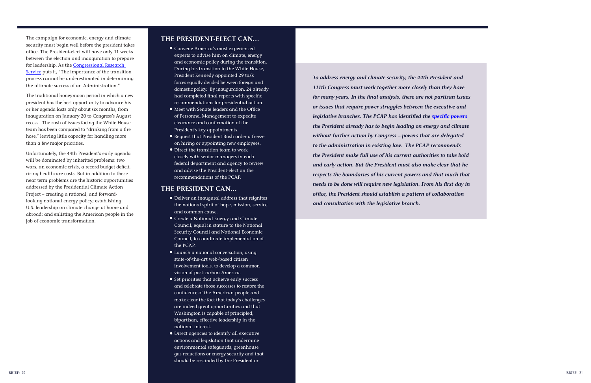The campaign for economic, energy and climate security must begin well before the president takes office. The President-elect will have only 11 weeks between the election and inauguration to prepare for leadership. As the **Congressional Research** [Servic](http://www.fas.org/sgp/crs/misc/RL30736.pdf)e puts it, "The importance of the transition process cannot be underestimated in determining the ultimate success of an Administration."

The traditional honeymoon period in which a new president has the best opportunity to advance his or her agenda lasts only about six months, from inauguration on January 20 to Congress's August recess. The rush of issues facing the White House team has been compared to "drinking from a fire hose," leaving little capacity for handling more than a few major priorities.

Unfortunately, the 44th President's early agenda will be dominated by inherited problems: two wars, an economic crisis, a record budget deficit, rising healthcare costs. But in addition to these near term problems are the historic opportunities addressed by the Presidential Climate Action Project – creating a rational, and forwardlooking national energy policy; establishing U.S. leadership on climate change at home and abroad; and enlisting the American people in the job of economic transformation.

# **THE PRESIDENT-ELECT CAN…**

- Convene America's most experienced experts to advise him on climate, energy and economic policy during the transition. During his transition to the White House, President Kennedy appointed 29 task forces equally divided between foreign and domestic policy. By inauguration, 24 already had completed final reports with specific recommendations for presidential action.
- Meet with Senate leaders and the Office of Personnel Management to expedite clearance and confirmation of the President's key appointments.
- Request that President Bush order a freeze on hiring or appointing new employees.
- Direct the transition team to work closely with senior managers in each federal department and agency to review and advise the President-elect on the recommendations of the PCAP.

# **THE PRESIDENT CAN…**

- Deliver an inaugural address that reignites the national spirit of hope, mission, service and common cause.
- Create a National Energy and Climate Council, equal in stature to the National Security Council and National Economic Council, to coordinate implementation of the PCAP.
- Launch a national conversation, using state-of-the-art web-based citizen involvement tools, to develop a common vision of post-carbon America.
- Set priorities that achieve early success and celebrate those successes to restore the confidence of the American people and make clear the fact that today's challenges are indeed great opportunities and that Washington is capable of principled, bipartisan, effective leadership in the national interest.
- Direct agencies to identify all executive actions and legislation that undermine environmental safeguards, greenhouse gas reductions or energy security and that should be rescinded by the President or

*To address energy and climate security, the 44th President and 111th Congress must work together more closely than they have for many years. In the final analysis, these are not partisan issues or issues that require power struggles between the executive and legislative branches. The PCAP has identified the [specific powers](http://www.climateactionproject.com/docs/Executive_CEES_PCAP_II_Report_Jul_17.pdf) the President already has to begin leading on energy and climate without further action by Congress – powers that are delegated to the administration in existing law. The PCAP recommends the President make full use of his current authorities to take bold and early action. But the President must also make clear that he respects the boundaries of his current powers and that much that needs to be done will require new legislation. From his first day in office, the President should establish a pattern of collaboration and consultation with the legislative branch.*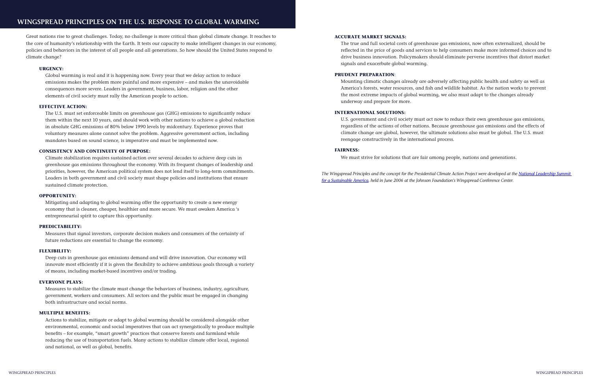### **ACCURATE MARKET SIGNALS:**

The true and full societal costs of greenhouse gas emissions, now often externalized, should be reflected in the price of goods and services to help consumers make more informed choices and to drive business innovation. Policymakers should eliminate perverse incentives that distort market signals and exacerbate global warming.

### **PRUDENT PREPARATION**:

Mounting climatic changes already are adversely affecting public health and safety as well as America's forests, water resources, and fish and wildlife habitat. As the nation works to prevent the most extreme impacts of global warming, we also must adapt to the changes already underway and prepare for more.

### **INTERNATIONAL SOLUTIONS:**

U.S. government and civil society must act now to reduce their own greenhouse gas emissions, regardless of the actions of other nations. Because greenhouse gas emissions and the effects of climate change are global, however, the ultimate solutions also must be global. The U.S. must reengage constructively in the international process.

### **FAIRNESS:**

We must strive for solutions that are fair among people, nations and generations.

*The Wingspread Principles and the concept for the Presidential Climate Action Project were developed at the [National Leadership Summit](http://www.summits.ncat.org)  [for a Sustainable America,](http://www.summits.ncat.org) held in June 2006 at the Johnson Foundation's Wingspread Conference Center.*

# **WINGSPREAD PRINCIPLES ON THE U.S. RESPONSE TO GLOBAL WARMING**

Great nations rise to great challenges. Today, no challenge is more critical than global climate change. It reaches to the core of humanity's relationship with the Earth. It tests our capacity to make intelligent changes in our economy, policies and behaviors in the interest of all people and all generations. So how should the United States respond to climate change?

### **URGENCY:**

Global warming is real and it is happening now. Every year that we delay action to reduce emissions makes the problem more painful and more expensive – and makes the unavoidable consequences more severe. Leaders in government, business, labor, religion and the other elements of civil society must rally the American people to action.

### **EFFECTIVE ACTION:**

The U.S. must set enforceable limits on greenhouse gas (GHG) emissions to significantly reduce them within the next 10 years, and should work with other nations to achieve a global reduction in absolute GHG emissions of 80% below 1990 levels by midcentury. Experience proves that voluntary measures alone cannot solve the problem. Aggressive government action, including mandates based on sound science, is imperative and must be implemented now.

### **CONSISTENCY AND CONTINUITY OF PURPOSE:**

Climate stabilization requires sustained action over several decades to achieve deep cuts in greenhouse gas emissions throughout the economy. With its frequent changes of leadership and priorities, however, the American political system does not lend itself to long-term commitments. Leaders in both government and civil society must shape policies and institutions that ensure sustained climate protection.

### **OPPORTUNITY:**

Mitigating and adapting to global warming offer the opportunity to create a new energy economy that is cleaner, cheaper, healthier and more secure. We must awaken America 's entrepreneurial spirit to capture this opportunity.

### **PREDICTABILITY:**

Measures that signal investors, corporate decision makers and consumers of the certainty of future reductions are essential to change the economy.

### **FLEXIBILITY:**

Deep cuts in greenhouse gas emissions demand and will drive innovation. Our economy will innovate most efficiently if it is given the flexibility to achieve ambitious goals through a variety of means, including market-based incentives and/or trading.

### **EVERYONE PLAYS:**

Measures to stabilize the climate must change the behaviors of business, industry, agriculture, government, workers and consumers. All sectors and the public must be engaged in changing both infrastructure and social norms.

### **MULTIPLE BENEFITS:**

Actions to stabilize, mitigate or adapt to global warming should be considered alongside other environmental, economic and social imperatives that can act synergistically to produce multiple benefits – for example, "smart growth" practices that conserve forests and farmland while reducing the use of transportation fuels. Many actions to stabilize climate offer local, regional and national, as well as global, benefits.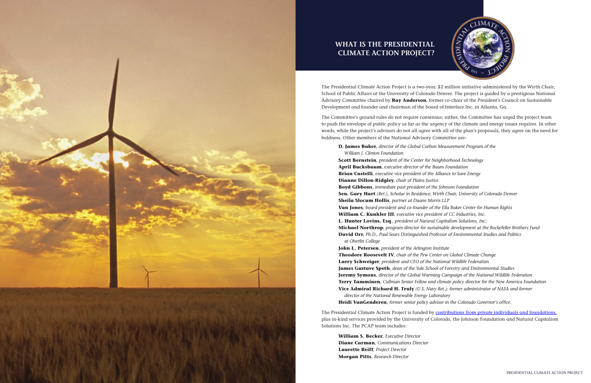

# **WHAT IS THE PRESIDENTIAL CLIMATE ACTION PROJECT?**

The Presidential Climate Action Project is a two-year, \$2 million initiative administered by the Wirth Chair, School of Public Affairs at the University of Colorado Denver. The project is guided by a prestigious National Advisory Committee chaired by **Ray Anderson**, former co-chair of the President's Council on Sustainable Development and founder and chairman of the board of Interface Inc. in Atlanta, Ga.

The Committee's ground rules do not require consensus; rather, the Committee has urged the project team to push the envelope of public policy as far as the urgency of the climate and energy issues requires. In other words, while the project's advisors do not all agree with all of the plan's proposals, they agree on the need for boldness. Other members of the National Advisory Committee are:

**D. James Baker**, *director of the Global Carbon Measurement Program of the William J. Clinton Foundation*

The Presidential Climate Action Project is funded by **contributions from private individuals and foundations**, plus in-kind services provided by the University of Colorado, the Johnson Foundation and Natural Capitalism Solutions Inc. The PCAP team includes:

**Scott Bernstein**, *president of the Center for Neighborhood Technology* **April Bucksbaum**, *executive director of the Baum Foundation* **Brian Castelli**, *executive vice president of the Alliance to Save Energy* **Dianne Dillon-Ridgley**, *chair of Plains Justice* **Boyd Gibbons**, *immediate past president of the Johnson Foundation* **Sen. Gary Hart** *(Ret.)*, *Scholar in Residence, Wirth Chair, University of Colorado Denver* **Sheila Slocum Hollis**, *partner at Duane Morris LLP* **Van Jones**, *board president and co-founder of the Ella Baker Center for Human Rights* **William C. Kunkler III**, *executive vice president of CC Industries, Inc*. **L. Hunter Lovins, Esq**., *president of Natural Capitalism Solutions, Inc*; **Michael Northrop**, *program director for sustainable development at the Rockefeller Brothers Fund* **David Orr**, *Ph.D., Paul Sears Distinguished Professor of Environmental Studies and Politics at Oberlin College*

**John L. Petersen**, *president of the Arlington Institute* **Theodore Roosevelt IV**, *chair of the Pew Center on Global Climate Change* **Larry Schweiger**, *president and CEO of the National Wildlife Federation* **James Gustave Speth**, *dean of the Yale School of Forestry and Environmental Studies* **Jeremy Symons**, *director of the Global Warming Campaign of the National Wildlife Federation* **Terry Tamminen**, *Cullman Senior Fellow and climate policy director for the New America Foundation* **Vice Admiral Richard H. Truly** *(U.S. Navy Ret.); former administrator of NASA and former director of the National Renewable Energy Laboratory* **Heidi VanGenderen**, *former senior policy advisor in the Colorado Governor's office.*

**William S. Becker**, *Executive Director* **Diane Carman**, *Communications Director* **Laurette Reiff**, *Project Director* **Morgan Pitts**, *Research Director*

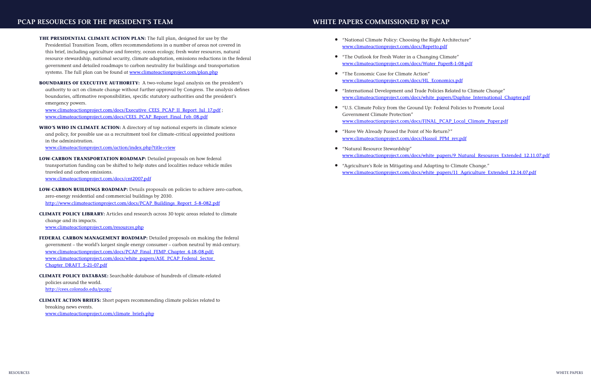# **WHITE PAPERS COMMISSIONED BY PCAP**

[www.climateactionproject.com/docs/white\\_papers/Daphne\\_International\\_Chapter.pdf](http://www.climateactionproject.com/docs/white_papers/Daphne_International_Chapter.pdf)

- "National Climate Policy: Choosing the Right Architecture" [www.climateactionproject.com/docs/Repetto.pdf](http://www.climateactionproject.com/docs/Repetto.pdf)
- "The Outlook for Fresh Water in a Changing Climate" [www.climateactionproject.com/docs/Water\\_Paper8-1-08.pdf](http://www.climateactionproject.com/docs/Water_Paper8-1-08.pdf)
- "The Economic Case for Climate Action" [www.climateactionproject.com/docs/HL\\_Economics.pdf](http://www.climateactionproject.com/docs/HL_Economics.pdf)
- "International Development and Trade Policies Related to Climate Change"
- "U.S. Climate Policy from the Ground Up: Federal Policies to Promote Local Government Climate Protection" [www.climateactionproject.com/docs/FINAL\\_PCAP\\_Local\\_Climate\\_Paper.pdf](http://www.climateactionproject.com/docs/FINAL_PCAP_Local_Climate_Paper.pdf)
- "Have We Already Passed the Point of No Return?" [www.climateactionproject.com/docs/Hassol\\_PPM\\_rev.pdf](http://www.climateactionproject.com/docs/Hassol_PPM_rev.pdf)
- "Natural Resource Stewardship"
- "Agriculture's Role in Mitigating and Adapting to Climate Change."

**THE PRESIDENTIAL CLIMATE ACTION PLAN:** The full plan, designed for use by the Presidential Transition Team, offers recommendations in a number of areas not covered in this brief, including agriculture and forestry, ocean ecology, fresh water resources, natural resource stewardship, national security, climate adaptation, emissions reductions in the federal government and detailed roadmaps to carbon neutrality for buildings and transportation systems. The full plan can be found at [www.climateactionproject.com/plan.php](http://www.climateactionproject.com/plan.php)

[www.climateactionproject.com/docs/white\\_papers/9\\_Natural\\_Resources\\_Extended\\_12.11.07.pdf](http://www.climateactionproject.com/docs/white_papers/9_Natural_Resources_Extended_12.11.07.pdf)

[www.climateactionproject.com/docs/Executive\\_CEES\\_PCAP\\_II\\_Report\\_Jul\\_17.pdf](http://www.climateactionproject.com/docs/Executive_CEES_PCAP_II_Report_Jul_17.pdf) ; [www.climateactionproject.com/docs/CEES\\_PCAP\\_Report\\_Final\\_Feb\\_08.pdf](http://www.climateactionproject.com/docs/CEES_PCAP_Report_Final_Feb_08.pdf)

[www.climateactionproject.com/docs/white\\_papers/11\\_Agriculture\\_Extended\\_12.14.07.pdf](http://www.climateactionproject.com/docs/white_papers/11_Agriculture_Extended_12.14.07.pdf)

**FEDERAL CARBON MANAGEMENT ROADMAP:** Detailed proposals on making the federal government – the world's largest single energy consumer – carbon neutral by mid-century. [www.climateactionproject.com/docs/PCAP\\_Final\\_FEMP\\_Chapter\\_4-18-08.pdf](http://www.climateactionproject.com/docs/PCAP_Final_FEMP_Chapter_4-18-08.pdf); [www.climateactionproject.com/docs/white\\_papers/ASE\\_PCAP\\_Federal\\_Sector\\_](http://www.climateactionproject.com/docs/white_papers/ASE_PCAP_Federal_Sector_Chapter_DRAFT_5-21-07.pdf) [Chapter\\_DRAFT\\_5-21-07.pdf](http://www.climateactionproject.com/docs/white_papers/ASE_PCAP_Federal_Sector_Chapter_DRAFT_5-21-07.pdf)

**BOUNDARIES OF EXECUTIVE AUTHORITY:** A two-volume legal analysis on the president's authority to act on climate change without further approval by Congress. The analysis defines boundaries, affirmative responsibilities, specific statutory authorities and the president's emergency powers.

**WHO'S WHO IN CLIMATE ACTION:** A directory of top national experts in climate science and policy, for possible use as a recruitment tool for climate-critical appointed positions in the administration. [www.climateactionproject.com/action/index.php?title=view](http://www.climateactionproject.com/action/index.php?title=view)

**LOW-CARBON TRANSPORTATION ROADMAP:** Detailed proposals on how federal transportation funding can be shifted to help states and localities reduce vehicle miles traveled and carbon emissions. [www.climateactionproject.com/docs/cnt2007.pdf](http://www.climateactionproject.com/docs/cnt2007.pdf)

**LOW-CARBON BUILDINGS ROADMAP:** Details proposals on policies to achieve zero-carbon, zero-energy residential and commercial buildings by 2030. [http://www.climateactionproject.com/docs/PCAP\\_Buildings\\_Report\\_5-8-082.pdf](http://www.climateactionproject.com/docs/PCAP_Buildings_Report_5-8-082.pdf)

**CLIMATE POLICY LIBRARY:** Articles and research across 30 topic areas related to climate change and its impacts. [www.climateactionproject.com/resources.php](http://www.climateactionproject.com/resources.php)

**CLIMATE POLICY DATABASE:** Searchable database of hundreds of climate-related policies around the world. <http://cees.colorado.edu/pcap/>

**CLIMATE ACTION BRIEFS:** Short papers recommending climate policies related to breaking news events. [www.climateactionproject.com/climate\\_briefs.php](http://www.climateactionproject.com/climate_briefs.php)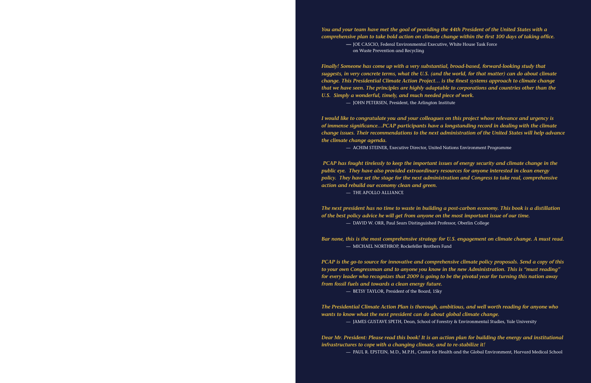*You and your team have met the goal of providing the 44th President of the United States with a comprehensive plan to take bold action on climate change within the first 100 days of taking office. —* JOE CASCIO, Federal Environmental Executive, White House Task Force on Waste Prevention and Recycling

*Finally! Someone has come up with a very substantial, broad-based, forward-looking study that suggests, in very concrete terms, what the U.S. (and the world, for that matter) can do about climate change. This Presidential Climate Action Project… is the finest systems approach to climate change that we have seen. The principles are highly adaptable to corporations and countries other than the U.S. Simply a wonderful, timely, and much needed piece of work.* — JOHN PETERSEN, President, the Arlington Institute

*I would like to congratulate you and your colleagues on this project whose relevance and urgency is of immense significance…PCAP participants have a longstanding record in dealing with the climate change issues. Their recommendations to the next administration of the United States will help advance the climate change agenda.*

— ACHIM STEINER, Executive Director, United Nations Environment Programme

 *PCAP has fought tirelessly to keep the important issues of energy security and climate change in the public eye. They have also provided extraordinary resources for anyone interested in clean energy policy. They have set the stage for the next administration and Congress to take real, comprehensive action and rebuild our economy clean and green.*  — THE APOLLO ALLIANCE

*The next president has no time to waste in building a post-carbon economy. This book is a distillation of the best policy advice he will get from anyone on the most important issue of our time.*  — DAVID W. ORR, Paul Sears Distinguished Professor, Oberlin College

*Bar none, this is the most comprehensive strategy for U.S. engagement on climate change. A must read.* — MICHAEL NORTHROP, Rockefeller Brothers Fund

*PCAP is the go-to source for innovative and comprehensive climate policy proposals. Send a copy of this to your own Congressman and to anyone you know in the new Administration. This is "must reading" for every leader who recognizes that 2009 is going to be the pivotal year for turning this nation away from fossil fuels and towards a clean energy future.* — BETSY TAYLOR, President of the Board, 1Sky

*The Presidential Climate Action Plan is thorough, ambitious, and well worth reading for anyone who wants to know what the next president can do about global climate change.* — JAMES GUSTAVE SPETH, Dean, School of Forestry & Environmental Studies, Yale University

*Dear Mr. President: Please read this book! It is an action plan for building the energy and institutional infrastructures to cope with a changing climate, and to re-stabilize it!*  — PAUL R. EPSTEIN, M.D., M.P.H., Center for Health and the Global Environment, Harvard Medical School